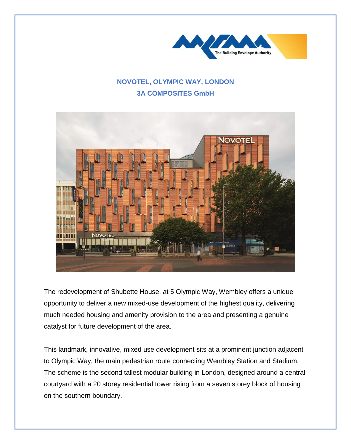

## **NOVOTEL, OLYMPIC WAY, LONDON 3A COMPOSITES GmbH**



The redevelopment of Shubette House, at 5 Olympic Way, Wembley offers a unique opportunity to deliver a new mixed-use development of the highest quality, delivering much needed housing and amenity provision to the area and presenting a genuine catalyst for future development of the area.

This landmark, innovative, mixed use development sits at a prominent junction adjacent to Olympic Way, the main pedestrian route connecting Wembley Station and Stadium. The scheme is the second tallest modular building in London, designed around a central courtyard with a 20 storey residential tower rising from a seven storey block of housing on the southern boundary.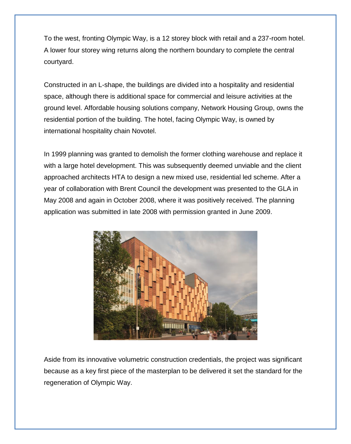To the west, fronting Olympic Way, is a 12 storey block with retail and a 237-room hotel. A lower four storey wing returns along the northern boundary to complete the central courtyard.

Constructed in an L-shape, the buildings are divided into a hospitality and residential space, although there is additional space for commercial and leisure activities at the ground level. Affordable housing solutions company, Network Housing Group, owns the residential portion of the building. The hotel, facing Olympic Way, is owned by international hospitality chain Novotel.

In 1999 planning was granted to demolish the former clothing warehouse and replace it with a large hotel development. This was subsequently deemed unviable and the client approached architects HTA to design a new mixed use, residential led scheme. After a year of collaboration with Brent Council the development was presented to the GLA in May 2008 and again in October 2008, where it was positively received. The planning application was submitted in late 2008 with permission granted in June 2009.



Aside from its innovative volumetric construction credentials, the project was significant because as a key first piece of the masterplan to be delivered it set the standard for the regeneration of Olympic Way.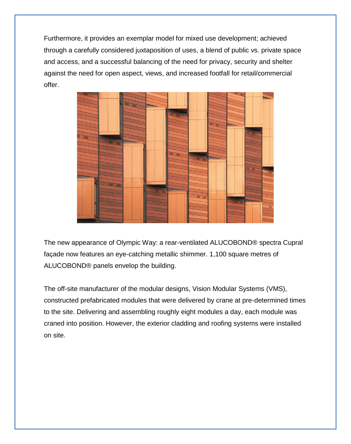Furthermore, it provides an exemplar model for mixed use development; achieved through a carefully considered juxtaposition of uses, a blend of public vs. private space and access, and a successful balancing of the need for privacy, security and shelter against the need for open aspect, views, and increased footfall for retail/commercial offer.



The new appearance of Olympic Way: a rear-ventilated ALUCOBOND® spectra Cupral façade now features an eye-catching metallic shimmer. 1,100 square metres of ALUCOBOND® panels envelop the building.

The off-site manufacturer of the modular designs, Vision Modular Systems (VMS), constructed prefabricated modules that were delivered by crane at pre-determined times to the site. Delivering and assembling roughly eight modules a day, each module was craned into position. However, the exterior cladding and roofing systems were installed on site.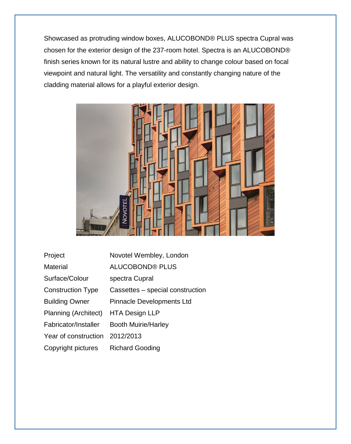Showcased as protruding window boxes, ALUCOBOND® PLUS spectra Cupral was chosen for the exterior design of the 237-room hotel. Spectra is an ALUCOBOND® finish series known for its natural lustre and ability to change colour based on focal viewpoint and natural light. The versatility and constantly changing nature of the cladding material allows for a playful exterior design.



| Project                  | Novotel Wembley, London          |
|--------------------------|----------------------------------|
| Material                 | <b>ALUCOBOND® PLUS</b>           |
| Surface/Colour           | spectra Cupral                   |
| <b>Construction Type</b> | Cassettes – special construction |
| <b>Building Owner</b>    | Pinnacle Developments Ltd        |
| Planning (Architect)     | <b>HTA Design LLP</b>            |
| Fabricator/Installer     | <b>Booth Muirie/Harley</b>       |
| Year of construction     | 2012/2013                        |
| Copyright pictures       | <b>Richard Gooding</b>           |